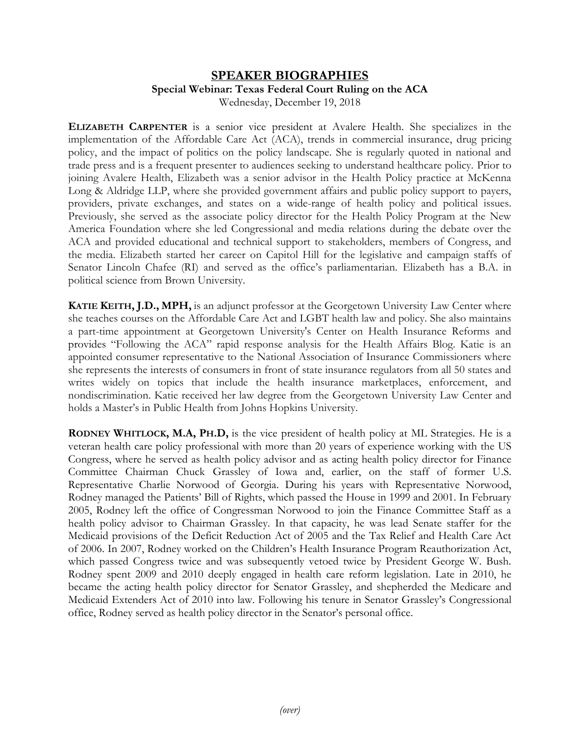## **SPEAKER BIOGRAPHIES Special Webinar: Texas Federal Court Ruling on the ACA** Wednesday, December 19, 2018

**ELIZABETH CARPENTER** is a senior vice president at Avalere Health. She specializes in the implementation of the Affordable Care Act (ACA), trends in commercial insurance, drug pricing policy, and the impact of politics on the policy landscape. She is regularly quoted in national and trade press and is a frequent presenter to audiences seeking to understand healthcare policy. Prior to joining Avalere Health, Elizabeth was a senior advisor in the Health Policy practice at McKenna Long & Aldridge LLP, where she provided government affairs and public policy support to payers, providers, private exchanges, and states on a wide-range of health policy and political issues. Previously, she served as the associate policy director for the Health Policy Program at the New America Foundation where she led Congressional and media relations during the debate over the ACA and provided educational and technical support to stakeholders, members of Congress, and the media. Elizabeth started her career on Capitol Hill for the legislative and campaign staffs of Senator Lincoln Chafee (RI) and served as the office's parliamentarian. Elizabeth has a B.A. in political science from Brown University.

**KATIE KEITH, J.D., MPH,** is an adjunct professor at the Georgetown University Law Center where she teaches courses on the Affordable Care Act and LGBT health law and policy. She also maintains a part-time appointment at Georgetown University's Center on Health Insurance Reforms and provides "Following the ACA" rapid response analysis for the Health Affairs Blog. Katie is an appointed consumer representative to the National Association of Insurance Commissioners where she represents the interests of consumers in front of state insurance regulators from all 50 states and writes widely on topics that include the health insurance marketplaces, enforcement, and nondiscrimination. Katie received her law degree from the Georgetown University Law Center and holds a Master's in Public Health from Johns Hopkins University.

**RODNEY WHITLOCK, M.A, PH.D,** is the vice president of health policy at ML Strategies. He is a veteran health care policy professional with more than 20 years of experience working with the US Congress, where he served as health policy advisor and as acting health policy director for Finance Committee Chairman Chuck Grassley of Iowa and, earlier, on the staff of former U.S. Representative Charlie Norwood of Georgia. During his years with Representative Norwood, Rodney managed the Patients' Bill of Rights, which passed the House in 1999 and 2001. In February 2005, Rodney left the office of Congressman Norwood to join the Finance Committee Staff as a health policy advisor to Chairman Grassley. In that capacity, he was lead Senate staffer for the Medicaid provisions of the Deficit Reduction Act of 2005 and the Tax Relief and Health Care Act of 2006. In 2007, Rodney worked on the Children's Health Insurance Program Reauthorization Act, which passed Congress twice and was subsequently vetoed twice by President George W. Bush. Rodney spent 2009 and 2010 deeply engaged in health care reform legislation. Late in 2010, he became the acting health policy director for Senator Grassley, and shepherded the Medicare and Medicaid Extenders Act of 2010 into law. Following his tenure in Senator Grassley's Congressional office, Rodney served as health policy director in the Senator's personal office.